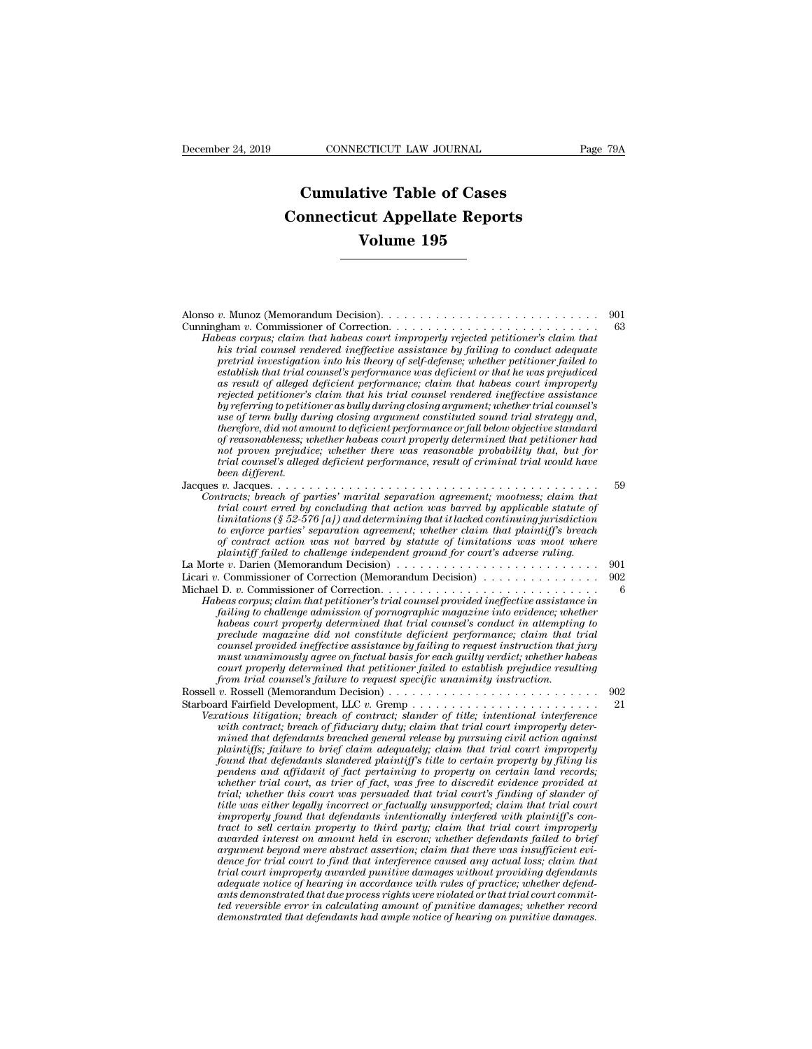## **CONNECTICUT LAW JOURNAL**<br> **Cumulative Table of Cases<br>
pnnecticut Appellate Reports CONNECTICUT LAW JOURNAL** Pa<br> **Cumulative Table of Cases**<br> **Connecticut Appellate Reports**<br> **Volume 195 CONNECTICUT LAW JOURNAL**<br> **Cumulative Table of Cases<br>
Connecticut Appellate Reports<br>
Volume 195**

| Volume 195                                                                                                                                                                                                                                                                                                                                                                                                                                                                                                                                                                                                                                                                                                                                                                                                                                                                                                                                                                                                                                                                                                                                                                                                                                                                                                                                                                                                                                                                                                                                                                                                                                                                                               |            |
|----------------------------------------------------------------------------------------------------------------------------------------------------------------------------------------------------------------------------------------------------------------------------------------------------------------------------------------------------------------------------------------------------------------------------------------------------------------------------------------------------------------------------------------------------------------------------------------------------------------------------------------------------------------------------------------------------------------------------------------------------------------------------------------------------------------------------------------------------------------------------------------------------------------------------------------------------------------------------------------------------------------------------------------------------------------------------------------------------------------------------------------------------------------------------------------------------------------------------------------------------------------------------------------------------------------------------------------------------------------------------------------------------------------------------------------------------------------------------------------------------------------------------------------------------------------------------------------------------------------------------------------------------------------------------------------------------------|------------|
|                                                                                                                                                                                                                                                                                                                                                                                                                                                                                                                                                                                                                                                                                                                                                                                                                                                                                                                                                                                                                                                                                                                                                                                                                                                                                                                                                                                                                                                                                                                                                                                                                                                                                                          |            |
| Alonso v. Munoz (Memorandum Decision). $\ldots \ldots \ldots \ldots \ldots \ldots \ldots \ldots \ldots \ldots$                                                                                                                                                                                                                                                                                                                                                                                                                                                                                                                                                                                                                                                                                                                                                                                                                                                                                                                                                                                                                                                                                                                                                                                                                                                                                                                                                                                                                                                                                                                                                                                           | 901        |
| Habeas corpus; claim that habeas court improperly rejected petitioner's claim that<br>his trial counsel rendered ineffective assistance by failing to conduct adequate<br>pretrial investigation into his theory of self-defense; whether petitioner failed to<br>establish that trial counsel's performance was deficient or that he was prejudiced<br>as result of alleged deficient performance; claim that habeas court improperly<br>rejected petitioner's claim that his trial counsel rendered ineffective assistance<br>by referring to petitioner as bully during closing argument; whether trial counsel's<br>use of term bully during closing argument constituted sound trial strategy and,<br>therefore, did not amount to deficient performance or fall below objective standard<br>of reasonableness; whether habeas court properly determined that petitioner had<br>not proven prejudice; whether there was reasonable probability that, but for<br>trial counsel's alleged deficient performance, result of criminal trial would have<br>been different.                                                                                                                                                                                                                                                                                                                                                                                                                                                                                                                                                                                                                               | 63         |
| Jacques $v$ . Jacques<br>.                                                                                                                                                                                                                                                                                                                                                                                                                                                                                                                                                                                                                                                                                                                                                                                                                                                                                                                                                                                                                                                                                                                                                                                                                                                                                                                                                                                                                                                                                                                                                                                                                                                                               | 59         |
| Contracts; breach of parties' marital separation agreement; mootness; claim that<br>trial court erred by concluding that action was barred by applicable statute of<br>limitations (§ 52-576 [a]) and determining that it lacked continuing jurisdiction<br>to enforce parties' separation agreement; whether claim that plaintiff's breach<br>of contract action was not barred by statute of limitations was moot where<br>plaintiff failed to challenge independent ground for court's adverse ruling.                                                                                                                                                                                                                                                                                                                                                                                                                                                                                                                                                                                                                                                                                                                                                                                                                                                                                                                                                                                                                                                                                                                                                                                                |            |
| La Morte v. Darien (Memorandum Decision) $\ldots \ldots \ldots \ldots \ldots \ldots \ldots \ldots \ldots \ldots$<br>Licari v. Commissioner of Correction (Memorandum Decision)                                                                                                                                                                                                                                                                                                                                                                                                                                                                                                                                                                                                                                                                                                                                                                                                                                                                                                                                                                                                                                                                                                                                                                                                                                                                                                                                                                                                                                                                                                                           | 901<br>902 |
| Habeas corpus; claim that petitioner's trial counsel provided ineffective assistance in<br>failing to challenge admission of pornographic magazine into evidence; whether<br>habeas court properly determined that trial counsel's conduct in attempting to<br>preclude magazine did not constitute deficient performance; claim that trial<br>counsel provided ineffective assistance by failing to request instruction that jury<br>must unanimously agree on factual basis for each guilty verdict; whether habeas<br>court properly determined that petitioner failed to establish prejudice resulting<br>from trial counsel's failure to request specific unanimity instruction.                                                                                                                                                                                                                                                                                                                                                                                                                                                                                                                                                                                                                                                                                                                                                                                                                                                                                                                                                                                                                    | 6          |
|                                                                                                                                                                                                                                                                                                                                                                                                                                                                                                                                                                                                                                                                                                                                                                                                                                                                                                                                                                                                                                                                                                                                                                                                                                                                                                                                                                                                                                                                                                                                                                                                                                                                                                          | 902<br>21  |
| Starboard Fairfield Development, LLC v. Gremp<br>Vexatious litigation; breach of contract; slander of title; intentional interference<br>with contract; breach of fiduciary duty; claim that trial court improperly deter-<br>mined that defendants breached general release by pursuing civil action against<br>plaintiffs; failure to brief claim adequately; claim that trial court improperly<br>found that defendants slandered plaintiff's title to certain property by filing lis<br>pendens and affidavit of fact pertaining to property on certain land records;<br>whether trial court, as trier of fact, was free to discredit evidence provided at<br>trial; whether this court was persuaded that trial court's finding of slander of<br>title was either legally incorrect or factually unsupported; claim that trial court<br>improperly found that defendants intentionally interfered with plaintiff's con-<br>tract to sell certain property to third party; claim that trial court improperly<br>awarded interest on amount held in escrow; whether defendants failed to brief<br>argument beyond mere abstract assertion; claim that there was insufficient evi-<br>dence for trial court to find that interference caused any actual loss; claim that<br>trial court improperly awarded punitive damages without providing defendants<br>adequate notice of hearing in accordance with rules of practice; whether defend-<br>ants demonstrated that due process rights were violated or that trial court commit-<br>ted reversible error in calculating amount of punitive damages; whether record<br>demonstrated that defendants had ample notice of hearing on punitive damages. |            |